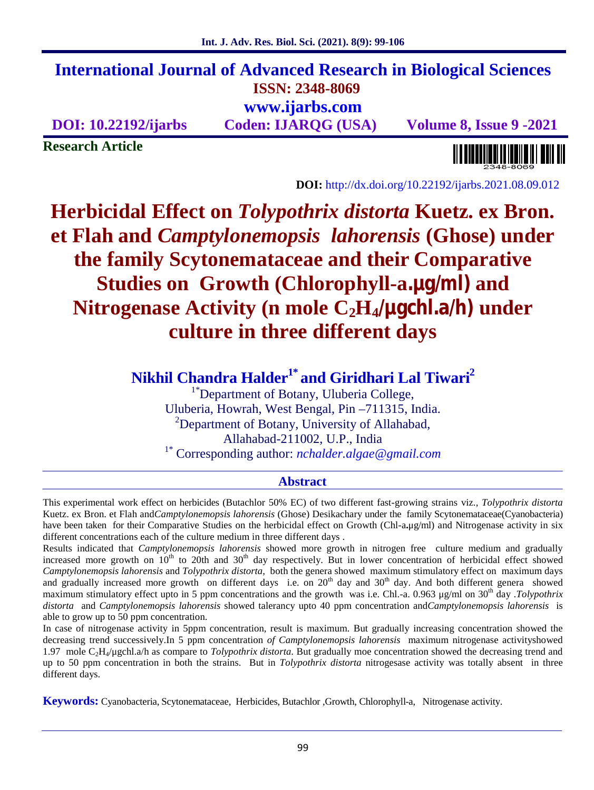# **International Journal of Advanced Research in Biological Sciences ISSN: 2348-8069**

**www.ijarbs.com**

**DOI: 10.22192/ijarbs Coden: IJARQG (USA) Volume 8, Issue 9 -2021**

**Research Article**

**DOI:** http://dx.doi.org/10.22192/ijarbs.2021.08.09.012

## **Herbicidal Effect on** *Tolypothrix distorta* **Kuetz. ex Bron. et Flah and** *Camptylonemopsis lahorensis* **(Ghose) under the family Scytonemataceae and their Comparative Studies on Growth (Chlorophyll-a.μg/ml) and Nitrogenase Activity (n mole C2H4/μgchl.a/h) under culture in three different days**

## **Nikhil Chandra Halder1\* and Giridhari Lal Tiwari<sup>2</sup>**

<sup>1\*</sup>Department of Botany, Uluberia College, Uluberia, Howrah, West Bengal, Pin –711315, India. <sup>2</sup>Department of Botany, University of Allahabad, Allahabad-211002, U.P., India 1\* Corresponding author: *nchalder.algae@gmail.com*

## **Abstract**

This experimental work effect on herbicides (Butachlor 50% EC) of two different fast-growing strains viz., *Tolypothrix distorta* Kuetz. ex Bron. et Flah and*Camptylonemopsis lahorensis* (Ghose) Desikachary under the family Scytonemataceae(Cyanobacteria) have been taken for their Comparative Studies on the herbicidal effect on Growth (Chl-a**.**μg/ml) and Nitrogenase activity in six different concentrations each of the culture medium in three different days .

Results indicated that *Camptylonemopsis lahorensis* showed more growth in nitrogen free culture medium and gradually increased more growth on  $10^{th}$  to 20th and 30<sup>th</sup> day respectively. But in lower concentration of herbicidal effect showed *Camptylonemopsis lahorensis* and *Tolypothrix distorta,* both the genera showed maximum stimulatory effect on maximum days and gradually increased more growth on different days i.e. on 20<sup>th</sup> day and 30<sup>th</sup> day. And both different genera showed maximum stimulatory effect upto in 5 ppm concentrations and the growth was i.e. Chl.-a. 0.963 μg/ml on 30<sup>th</sup> day .*Tolypothrix distorta* and *Camptylonemopsis lahorensis* showed talerancy upto 40 ppm concentration and*Camptylonemopsis lahorensis* is able to grow up to 50 ppm concentration.

In case of nitrogenase activity in 5ppm concentration, result is maximum. But gradually increasing concentration showed the decreasing trend successively.In 5 ppm concentration *of Camptylonemopsis lahorensis* maximum nitrogenase activityshowed 1.97 mole C2H4/μgchl.a/h as compare to *Tolypothrix distorta.* But gradually moe concentration showed the decreasing trend and up to 50 ppm concentration in both the strains. But in *Tolypothrix distorta* nitrogesase activity was totally absent in three different days.

**Keywords:** Cyanobacteria, Scytonemataceae, Herbicides, Butachlor ,Growth, Chlorophyll-a, Nitrogenase activity.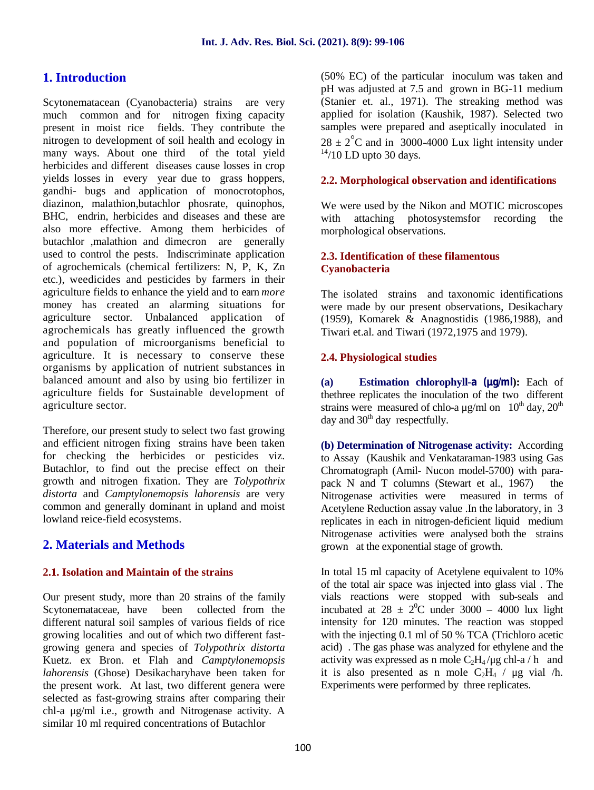### **1. Introduction**

Scytonematacean (Cyanobacteria) strains are very much common and for nitrogen fixing capacity present in moist rice fields. They contribute the nitrogen to development of soil health and ecology in many ways. About one third of the total yield herbicides and different diseases cause losses in crop yields losses in every year due to grass hoppers, gandhi- bugs and application of monocrotophos, diazinon, malathion,butachlor phosrate, quinophos, BHC, endrin, herbicides and diseases and these are also more effective. Among them herbicides of butachlor ,malathion and dimecron are generally used to control the pests. Indiscriminate application of agrochemicals (chemical fertilizers: N, P, K, Zn etc.), weedicides and pesticides by farmers in their agriculture fields to enhance the yield and to earn *more* money has created an alarming situations for agriculture sector. Unbalanced application of agrochemicals has greatly influenced the growth and population of microorganisms beneficial to agriculture. It is necessary to conserve these organisms by application of nutrient substances in balanced amount and also by using bio fertilizer in agriculture fields for Sustainable development of agriculture sector.

Therefore, our present study to select two fast growing and efficient nitrogen fixing strains have been taken for checking the herbicides or pesticides viz. Butachlor, to find out the precise effect on their growth and nitrogen fixation. They are *Tolypothrix distorta* and *Camptylonemopsis lahorensis* are very common and generally dominant in upland and moist lowland reice-field ecosystems.

## **2. Materials and Methods**

#### **2.1. Isolation and Maintain of the strains**

Our present study, more than 20 strains of the family Scytonemataceae, have been collected from the different natural soil samples of various fields of rice growing localities and out of which two different fast growing genera and species of *Tolypothrix distorta* Kuetz. ex Bron. et Flah and *Camptylonemopsis lahorensis* (Ghose) Desikacharyhave been taken for the present work. At last, two different genera were selected as fast-growing strains after comparing their chl-a μg/ml i.e., growth and Nitrogenase activity. A similar 10 ml required concentrations of Butachlor

(50% EC) of the particular inoculum was taken and pH was adjusted at 7.5 and grown in BG-11 medium (Stanier et. al., 1971). The streaking method was applied for isolation (Kaushik, 1987). Selected two samples were prepared and aseptically inoculated in  $28 \pm 2^{\circ}$ C and in 3000-4000 Lux light intensity under  $14/10$  LD upto 30 days.

#### **2.2. Morphological observation and identifications**

We were used by the Nikon and MOTIC microscopes with attaching photosystemsfor recording the morphological observations.

#### **2.3. Identification of these filamentous Cyanobacteria**

The isolated strains and taxonomic identifications were made by our present observations, Desikachary (1959), Komarek & Anagnostidis (1986,1988), and Tiwari et.al. and Tiwari (1972,1975 and 1979).

#### **2.4. Physiological studies**

**(a) Estimation chlorophyll-a (μg/ml):** Each of thethree replicates the inoculation of the two different strains were measured of chlo-a  $\mu$ g/ml on 10<sup>th</sup> day, 20<sup>th</sup> day and  $30<sup>th</sup>$  day respectfully.

**(b) Determination of Nitrogenase activity:** According to Assay (Kaushik and Venkataraman-1983 using Gas Chromatograph (Amil- Nucon model-5700) with para pack N and T columns (Stewart et al., 1967) the Nitrogenase activities were measured in terms of Acetylene Reduction assay value .In the laboratory, in 3 replicates in each in nitrogen-deficient liquid medium Nitrogenase activities were analysed both the strains grown at the exponential stage of growth.

In total 15 ml capacity of Acetylene equivalent to 10% of the total air space was injected into glass vial . The vials reactions were stopped with sub-seals and incubated at  $28 \pm 2^0C$  under 3000 – 4000 lux light intensity for 120 minutes. The reaction was stopped with the injecting 0.1 ml of 50 % TCA (Trichloro acetic acid) . The gas phase was analyzed for ethylene and the activity was expressed as n mole  $C_2H_4/\mu$ g chl-a / h and it is also presented as n mole  $C_2H_4$  / μg vial /h. Experiments were performed by three replicates.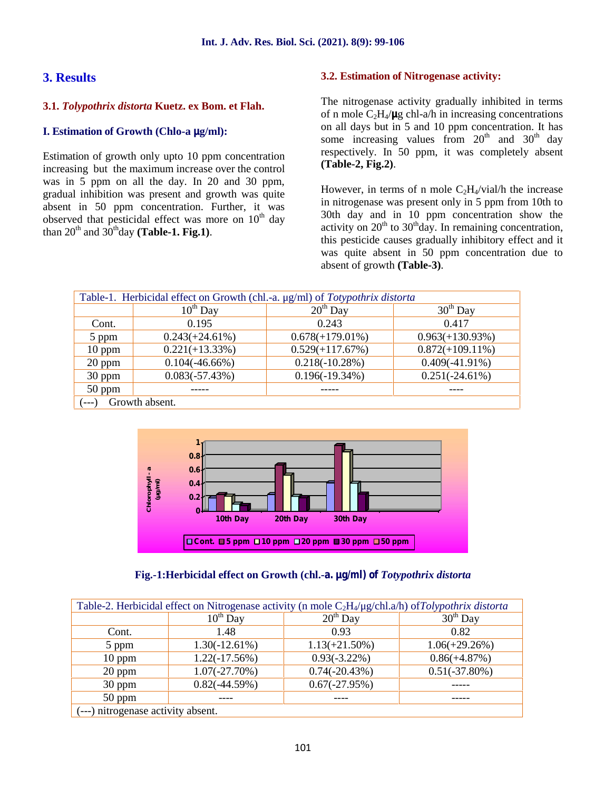## **3. Results**

#### **3.1.** *Tolypothrix distorta* **Kuetz. ex Bom. et Flah.**

#### **I. Estimation of Growth (Chlo-a μg/ml):**

Estimation of growth only upto 10 ppm concentration increasing but the maximum increase over the control was in 5 ppm on all the day. In 20 and 30 ppm, gradual inhibition was present and growth was quite absent in 50 ppm concentration. Further, it was observed that pesticidal effect was more on  $10<sup>th</sup>$  day than  $20^{th}$  and  $30^{th}$ day **(Table-1. Fig.1)**.

#### **3.2. Estimation of Nitrogenase activity:**

The nitrogenase activity gradually inhibited in terms of n mole C2H4/**μ**g chl-a/h in increasing concentrations on all days but in 5 and 10 ppm concentration. It has some increasing values from  $20<sup>th</sup>$  and  $30<sup>th</sup>$  day respectively. In 50 ppm, it was completely absent **(Table-2, Fig.2)**.

However, in terms of n mole  $C_2H_4/vial/h$  the increase in nitrogenase was present only in 5 ppm from 10th to 30th day and in 10 ppm concentration show the activity on  $20<sup>th</sup>$  to  $30<sup>th</sup>$  day. In remaining concentration, this pesticide causes gradually inhibitory effect and it was quite absent in 50 ppm concentration due to absent of growth **(Table-3)**.

| Table-1. Herbicidal effect on Growth (chl.-a. µg/ml) of Totypothrix distorta |                   |                    |                    |
|------------------------------------------------------------------------------|-------------------|--------------------|--------------------|
|                                                                              | $10^{th}$ Day     | $20^{th}$ Day      | $30th$ Day         |
| Cont.                                                                        | 0.195             | 0.243              | 0.417              |
| 5 ppm                                                                        | $0.243(+24.61\%)$ | $0.678(+179.01\%)$ | $0.963(+130.93\%)$ |
| $10$ ppm                                                                     | $0.221(+13.33\%)$ | $0.529(+117.67%)$  | $0.872(+109.11\%)$ |
| 20 ppm                                                                       | $0.104(-46.66\%)$ | $0.218(-10.28%)$   | $0.409(-41.91\%)$  |
| 30 ppm                                                                       | $0.083(-57.43\%)$ | $0.196(-19.34%)$   | $0.251(-24.61\%)$  |
| $50$ ppm                                                                     |                   |                    |                    |
| Growth absent.                                                               |                   |                    |                    |





|                                    | Table-2. Herbicidal effect on Nitrogenase activity (n mole $C_2H_4/\mu g$ /chl.a/h) of Tolypothrix distorta |                  |                  |
|------------------------------------|-------------------------------------------------------------------------------------------------------------|------------------|------------------|
|                                    | $10^{th}$ Day                                                                                               | $20th$ Day       | $30th$ Day       |
| Cont.                              | 1.48                                                                                                        | 0.93             | 0.82             |
| 5 ppm                              | $1.30(-12.61\%)$                                                                                            | $1.13(+21.50\%)$ | $1.06(+29.26%)$  |
| $10$ ppm                           | $1.22(-17.56%)$                                                                                             | $0.93(-3.22\%)$  | $0.86(+4.87%)$   |
| $20$ ppm                           | $1.07(-27.70\%)$                                                                                            | $0.74(-20.43%)$  | $0.51(-37.80\%)$ |
| 30 ppm                             | $0.82(-44.59%)$                                                                                             | $0.67(-27.95%)$  |                  |
| $50$ ppm                           |                                                                                                             |                  |                  |
| (---) nitrogenase activity absent. |                                                                                                             |                  |                  |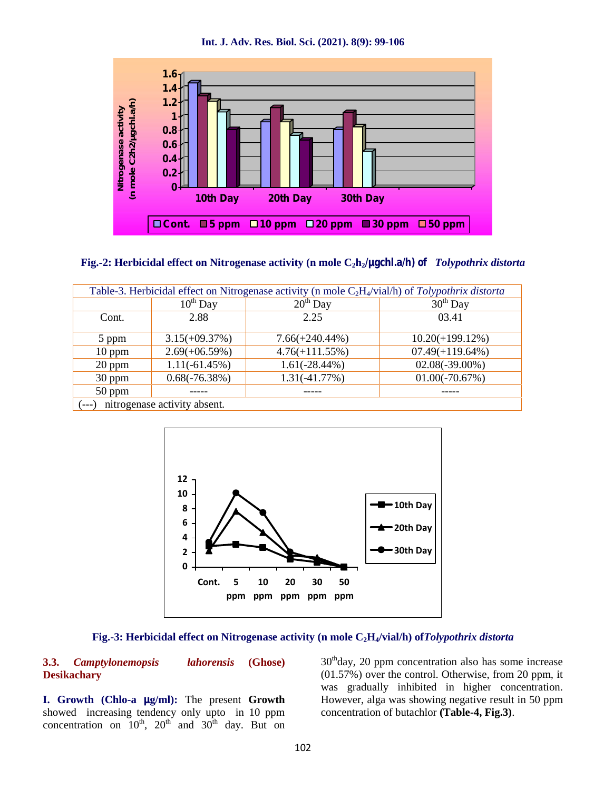**Int. J. Adv. Res. Biol. Sci. (2021). 8(9): 99-106**



#### **Fig.-2: Herbicidal effect on Nitrogenase activity (n mole C2h2/μgchl.a/h) of** *Tolypothrix distorta*

|          |                              |                   | Table-3. Herbicidal effect on Nitrogenase activity (n mole $C_2H_4/vial/h$ ) of Tolypothrix distorta |
|----------|------------------------------|-------------------|------------------------------------------------------------------------------------------------------|
|          | $10^{th}$ Day                | $20th$ Day        | $30th$ Day                                                                                           |
| Cont.    | 2.88                         | 2.25              | 03.41                                                                                                |
| 5 ppm    | $3.15(+09.37%)$              | $7.66(+240.44\%)$ | $10.20(+199.12\%)$                                                                                   |
| $10$ ppm | $2.69(+06.59%)$              | $4.76(+111.55%)$  | $07.49(+119.64\%)$                                                                                   |
| 20 ppm   | $1.11(-61.45%)$              | $1.61(-28.44\%)$  | $02.08(-39.00\%)$                                                                                    |
| 30 ppm   | $0.68(-76.38%)$              | $1.31(-41.77%)$   | $01.00(-70.67%)$                                                                                     |
| 50 ppm   |                              |                   |                                                                                                      |
| $(--1)$  | nitrogenase activity absent. |                   |                                                                                                      |



#### **Fig.-3: Herbicidal effect on Nitrogenase activity (n mole C2H4/vial/h) of***Tolypothrix distorta*

#### **3.3.** *Camptylonemopsis lahorensis* **(Ghose) Desikachary**

**I. Growth (Chlo-a μg/ml):** The present **Growth** showed increasing tendency only upto in 10 ppm concentration on  $10^{th}$ ,  $20^{th}$  and  $30^{th}$  day. But on  $30<sup>th</sup>$ day, 20 ppm concentration also has some increase (01.57%) over the control. Otherwise, from 20 ppm, it was gradually inhibited in higher concentration. However, alga was showing negative result in 50 ppm concentration of butachlor **(Table-4, Fig.3)**.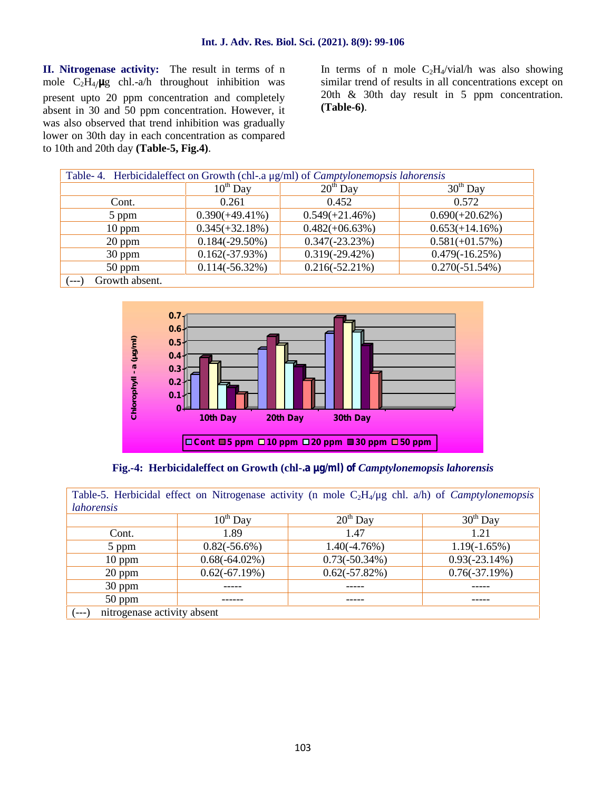**II. Nitrogenase activity:** The result in terms of n mole C2H4/**μ**g chl.-a/h throughout inhibition was present upto 20 ppm concentration and completely absent in 30 and 50 ppm concentration. However, it was also observed that trend inhibition was gradually lower on 30th day in each concentration as compared to 10th and 20th day **(Table-5, Fig.4)**.

In terms of n mole  $C_2H_4/vial/h$  was also showing similar trend of results in all concentrations except on 20th & 30th day result in 5 ppm concentration. **(Table-6)**.

| Table- 4. Herbicidaleffect on Growth (chl-.a µg/ml) of <i>Camptylonemopsis lahorensis</i> |                   |                   |                   |
|-------------------------------------------------------------------------------------------|-------------------|-------------------|-------------------|
|                                                                                           | $10^{th}$ Day     | $20^{th}$ Day     | $30th$ Day        |
| Cont.                                                                                     | 0.261             | 0.452             | 0.572             |
| 5 ppm                                                                                     | $0.390(+49.41\%)$ | $0.549(+21.46%)$  | $0.690(+20.62\%)$ |
| $10$ ppm                                                                                  | $0.345(+32.18%)$  | $0.482(+06.63\%)$ | $0.653(+14.16%)$  |
| 20 ppm                                                                                    | $0.184(-29.50\%)$ | $0.347(-23.23%)$  | $0.581(+01.57%)$  |
| 30 ppm                                                                                    | $0.162(-37.93\%)$ | $0.319(-29.42\%)$ | $0.479(-16.25%)$  |
| $50$ ppm                                                                                  | $0.114(-56.32\%)$ | $0.216(-52.21\%)$ | $0.270(-51.54%)$  |
| Growth absent.<br>'---'                                                                   |                   |                   |                   |



**Fig.-4: Herbicidaleffect on Growth (chl-.a μg/ml) of** *Camptylonemopsis lahorensis*

|                                       |                  | Table-5. Herbicidal effect on Nitrogenase activity (n mole $C_2H_4/\mu$ g chl. a/h) of <i>Camptylonemopsis</i> |                 |
|---------------------------------------|------------------|----------------------------------------------------------------------------------------------------------------|-----------------|
| <i>lahorensis</i>                     |                  |                                                                                                                |                 |
|                                       | $10^{th}$ Day    | $20th$ Day                                                                                                     | $30th$ Day      |
| Cont.                                 | 1.89             | 1.47                                                                                                           | 1.21            |
| 5 ppm                                 | $0.82(-56.6\%)$  | $1.40(-4.76%)$                                                                                                 | $1.19(-1.65%)$  |
| $10$ ppm                              | $0.68(-64.02\%)$ | $0.73(-50.34%)$                                                                                                | $0.93(-23.14%)$ |
| $20$ ppm                              | $0.62(-67.19%)$  | $0.62(-57.82%)$                                                                                                | $0.76(-37.19%)$ |
| 30 ppm                                |                  |                                                                                                                |                 |
| $50$ ppm                              |                  |                                                                                                                |                 |
| nitrogenase activity absent<br>$---)$ |                  |                                                                                                                |                 |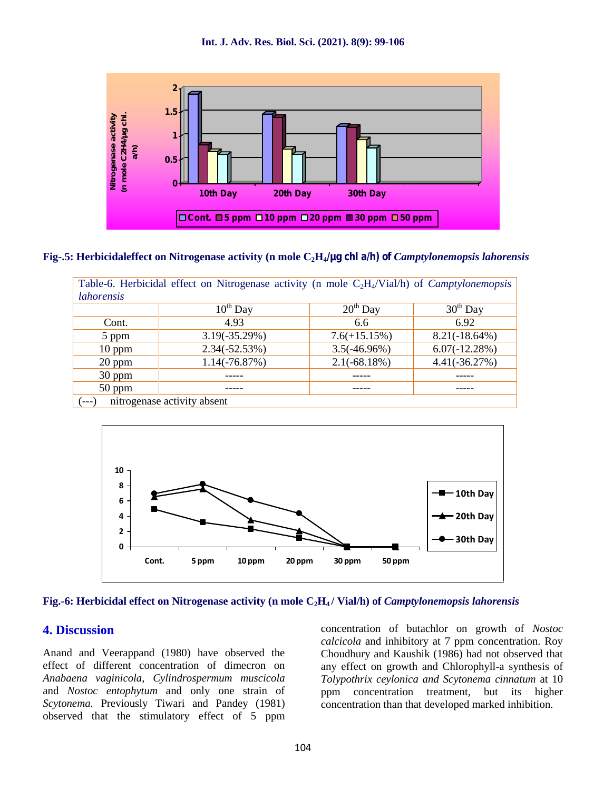

#### **Fig-.5: Herbicidaleffect on Nitrogenase activity (n mole C2H4/μg chl a/h) of** *Camptylonemopsis lahorensis*

|                   | Table-6. Herbicidal effect on Nitrogenase activity (n mole $C_2H_4/Vial/h$ ) of <i>Camptylonemopsis</i> |                |                  |
|-------------------|---------------------------------------------------------------------------------------------------------|----------------|------------------|
| <i>lahorensis</i> |                                                                                                         |                |                  |
|                   | $10^{th}$ Day                                                                                           | $20th$ Day     | $30th$ Day       |
| Cont.             | 4.93                                                                                                    | 6.6            | 6.92             |
| 5 ppm             | $3.19(-35.29%)$                                                                                         | $7.6(+15.15%)$ | $8.21(-18.64\%)$ |
| $10$ ppm          | $2.34(-52.53%)$                                                                                         | $3.5(-46.96%)$ | $6.07(-12.28%)$  |
| 20 ppm            | $1.14(-76.87%)$                                                                                         | $2.1(-68.18%)$ | $4.41(-36.27%)$  |
| 30 ppm            |                                                                                                         |                |                  |
| 50 ppm            |                                                                                                         |                |                  |
| $(---)$           | nitrogenase activity absent                                                                             |                |                  |



#### **Fig.-6: Herbicidal effect on Nitrogenase activity (n mole C2H<sup>4</sup> / Vial/h) of** *Camptylonemopsis lahorensis*

#### **4. Discussion**

Anand and Veerappand (1980) have observed the effect of different concentration of dimecron on *Anabaena vaginicola, Cylindrospermum muscicola* and *Nostoc entophytum* and only one strain of *Scytonema.* Previously Tiwari and Pandey (1981) observed that the stimulatory effect of 5 ppm concentration of butachlor on growth of *Nostoc calcicola* and inhibitory at 7 ppm concentration. Roy Choudhury and Kaushik (1986) had not observed that any effect on growth and Chlorophyll-a synthesis of *Tolypothrix ceylonica and Scytonema cinnatum* at 10 ppm concentration treatment, but its higher concentration than that developed marked inhibition.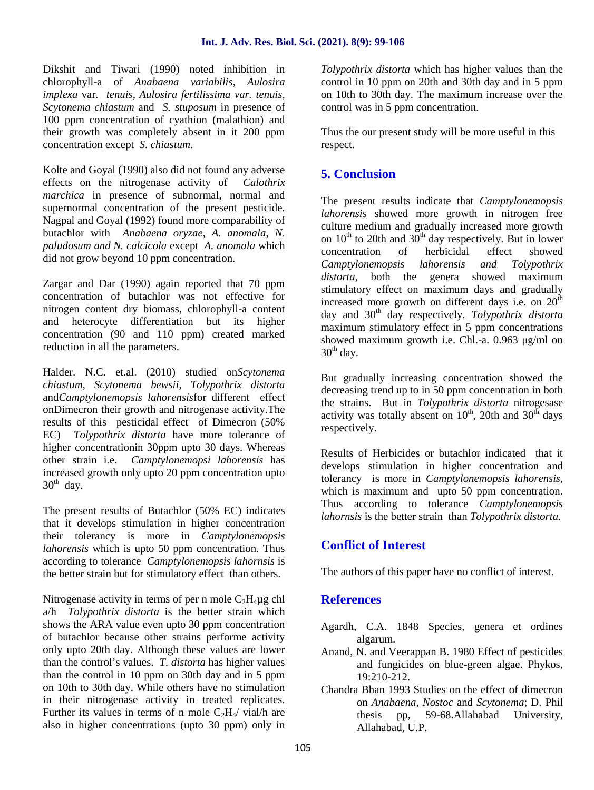Dikshit and Tiwari (1990) noted inhibition in chlorophyll-a of *Anabaena variabilis, Aulosira implexa* var. *tenuis, Aulosira fertilissima var. tenuis, Scytonema chiastum* and *S. stuposum* in presence of 100 ppm concentration of cyathion (malathion) and their growth was completely absent in it 200 ppm concentration except *S. chiastum*.

Kolte and Goyal (1990) also did not found any adverse effects on the nitrogenase activity of *Calothrix marchica* in presence of subnormal, normal and supernormal concentration of the present pesticide. Nagpal and Goyal (1992) found more comparability of butachlor with *Anabaena oryzae, A. anomala, N. paludosum and N. calcicola* except *A. anomala* which did not grow beyond 10 ppm concentration.

Zargar and Dar (1990) again reported that 70 ppm concentration of butachlor was not effective for nitrogen content dry biomass, chlorophyll-a content and heterocyte differentiation but its higher concentration (90 and 110 ppm) created marked reduction in all the parameters.

Halder. N.C. et.al. (2010) studied on*Scytonema chiastum*, *Scytonema bewsii, Tolypothrix distorta* and*Camptylonemopsis lahorensis*for different effect onDimecron their growth and nitrogenase activity.The results of this pesticidal effect of Dimecron (50% EC) *Tolypothrix distorta* have more tolerance of higher concentrationin 30ppm upto 30 days. Whereas other strain i.e. *Camptylonemopsi lahorensis* has increased growth only upto 20 ppm concentration upto  $30<sup>th</sup>$  day.

The present results of Butachlor (50% EC) indicates that it develops stimulation in higher concentration their tolerancy is more in *Camptylonemopsis lahorensis* which is upto 50 ppm concentration. Thus according to tolerance *Camptylonemopsis lahornsis* is the better strain but for stimulatory effect than others.

Nitrogenase activity in terms of per n mole  $C_2H_4\mu$ g chl a/h *Tolypothrix distorta* is the better strain which shows the ARA value even upto 30 ppm concentration of butachlor because other strains performe activity only upto 20th day. Although these values are lower than the control's values. *T. distorta* has higher values than the control in 10 ppm on 30th day and in 5 ppm on 10th to 30th day. While others have no stimulation in their nitrogenase activity in treated replicates. Further its values in terms of n mole  $C_2H_4$  vial/h are also in higher concentrations (upto 30 ppm) only in *Tolypothrix distorta* which has higher values than the control in 10 ppm on 20th and 30th day and in 5 ppm on 10th to 30th day. The maximum increase over the control was in 5 ppm concentration.

Thus the our present study will be more useful in this respect.

## **5. Conclusion**

The present results indicate that *Camptylonemopsis lahorensis* showed more growth in nitrogen free culture medium and gradually increased more growth on  $10^{th}$  to 20th and  $30^{th}$  day respectively. But in lower concentration of herbicidal effect showed *Camptylonemopsis lahorensis and Tolypothrix distorta,* both the genera showed maximum stimulatory effect on maximum days and gradually increased more growth on different days i.e. on  $20<sup>th</sup>$ day and 30th day respectively. *Tolypothrix distorta* maximum stimulatory effect in 5 ppm concentrations showed maximum growth i.e. Chl.-a. 0.963 μg/ml on  $30<sup>th</sup>$  day.

But gradually increasing concentration showed the decreasing trend up to in 50 ppm concentration in both the strains. But in *Tolypothrix distorta* nitrogesase activity was totally absent on  $10^{th}$ , 20th and  $30^{th}$  days respectively.

Results of Herbicides or butachlor indicated that it develops stimulation in higher concentration and tolerancy is more in *Camptylonemopsis lahorensis,* which is maximum and upto 50 ppm concentration. Thus according to tolerance *Camptylonemopsis lahornsis* is the better strain than *Tolypothrix distorta.*

## **Conflict of Interest**

The authors of this paper have no conflict of interest.

## **References**

- Agardh, C.A. 1848 Species, genera et ordines algarum.
- Anand, N. and Veerappan B. 1980 Effect of pesticides and fungicides on blue-green algae. Phykos, 19:210-212.
- Chandra Bhan 1993 Studies on the effect of dimecron on *Anabaena, Nostoc* and *Scytonema*; D. Phil thesis pp, 59-68.Allahabad University, Allahabad, U.P.